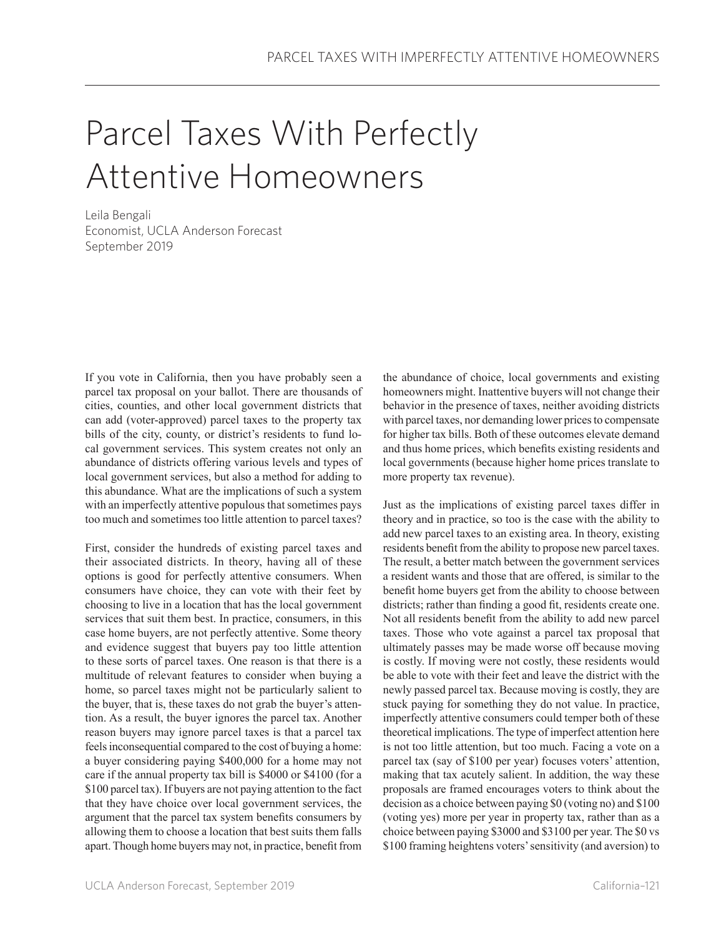## Parcel Taxes With Perfectly Attentive Homeowners

Leila Bengali Economist, UCLA Anderson Forecast September 2019

If you vote in California, then you have probably seen a parcel tax proposal on your ballot. There are thousands of cities, counties, and other local government districts that can add (voter-approved) parcel taxes to the property tax bills of the city, county, or district's residents to fund local government services. This system creates not only an abundance of districts offering various levels and types of local government services, but also a method for adding to this abundance. What are the implications of such a system with an imperfectly attentive populous that sometimes pays too much and sometimes too little attention to parcel taxes?

First, consider the hundreds of existing parcel taxes and their associated districts. In theory, having all of these options is good for perfectly attentive consumers. When consumers have choice, they can vote with their feet by choosing to live in a location that has the local government services that suit them best. In practice, consumers, in this case home buyers, are not perfectly attentive. Some theory and evidence suggest that buyers pay too little attention to these sorts of parcel taxes. One reason is that there is a multitude of relevant features to consider when buying a home, so parcel taxes might not be particularly salient to the buyer, that is, these taxes do not grab the buyer's attention. As a result, the buyer ignores the parcel tax. Another reason buyers may ignore parcel taxes is that a parcel tax feels inconsequential compared to the cost of buying a home: a buyer considering paying \$400,000 for a home may not care if the annual property tax bill is \$4000 or \$4100 (for a \$100 parcel tax). If buyers are not paying attention to the fact that they have choice over local government services, the argument that the parcel tax system benefits consumers by allowing them to choose a location that best suits them falls apart. Though home buyers may not, in practice, benefit from

the abundance of choice, local governments and existing homeowners might. Inattentive buyers will not change their behavior in the presence of taxes, neither avoiding districts with parcel taxes, nor demanding lower prices to compensate for higher tax bills. Both of these outcomes elevate demand and thus home prices, which benefits existing residents and local governments (because higher home prices translate to more property tax revenue).

Just as the implications of existing parcel taxes differ in theory and in practice, so too is the case with the ability to add new parcel taxes to an existing area. In theory, existing residents benefit from the ability to propose new parcel taxes. The result, a better match between the government services a resident wants and those that are offered, is similar to the benefit home buyers get from the ability to choose between districts; rather than finding a good fit, residents create one. Not all residents benefit from the ability to add new parcel taxes. Those who vote against a parcel tax proposal that ultimately passes may be made worse off because moving is costly. If moving were not costly, these residents would be able to vote with their feet and leave the district with the newly passed parcel tax. Because moving is costly, they are stuck paying for something they do not value. In practice, imperfectly attentive consumers could temper both of these theoretical implications. The type of imperfect attention here is not too little attention, but too much. Facing a vote on a parcel tax (say of \$100 per year) focuses voters' attention, making that tax acutely salient. In addition, the way these proposals are framed encourages voters to think about the decision as a choice between paying \$0 (voting no) and \$100 (voting yes) more per year in property tax, rather than as a choice between paying \$3000 and \$3100 per year. The \$0 vs \$100 framing heightens voters' sensitivity (and aversion) to